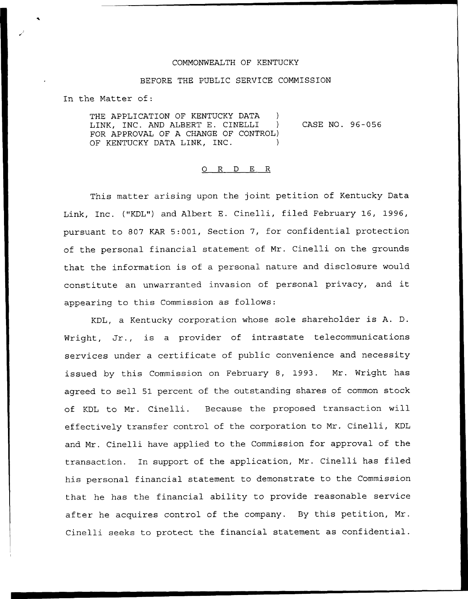## COMMONWEALTH OF KENTUCKY

## BEFORE THE PUBLIC SERVICE COMMISSION

In the Matter of:

THE APPLICATION OF KENTUCKY DATA LINK, INC. AND ALBERT E. CINELLI FOR APPROVAL OF A CHANGE OF CONTROL) OF KENTUCKY DATA LINK, INC. CASE NO. 96-056

## 0 R <sup>D</sup> E R

This matter arising upon the joint petition of Kentucky Data Link, Inc. {"KDL") and Albert E. Cinelli, filed February 16, 1996, pursuant to 807 KAR 5:001, Section 7, for confidential protection of the personal financial statement of Mr. Cinelli on the grounds that the information is of a personal nature and disclosure would constitute an unwarranted invasion of personal privacy, and it appearing to this Commission as follows:

KDL, a Kentucky corporation whose sole shareholder is A. D. Wright, Jr., is <sup>a</sup> provider of intrastate telecommunications services under a certificate of public convenience and necessity issued by this Commission on February 8, 1993. Mr. Wright has agreed to sell 51 percent of the outstanding shares of common stock of KDL to Mr. Cinelli. Because the proposed transaction will effectively transfer control of the corporation to Mr. Cinelli, KDL and Mr. Cinelli have applied to the Commission for approval of the transaction. In support of the application, Mr. Cinelli has filed his personal financial statement to demonstrate to the Commission that he has the financial ability to provide reasonable service after he acquires control of the company. By this petition, Mr. Cinelli seeks to protect the financial statement as confidential.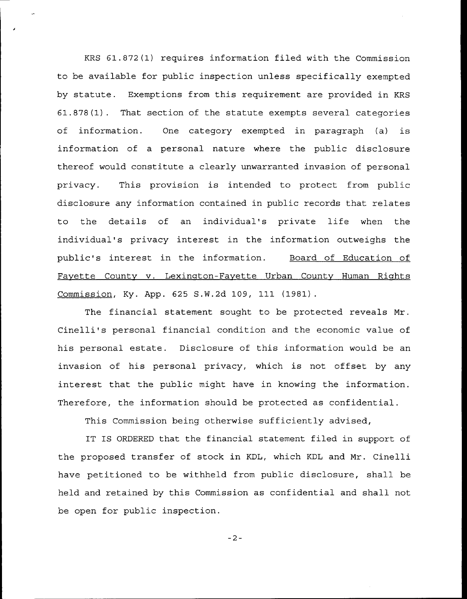KRS 61.872(1) requires information filed with the Commission to be available for public inspection unless specifically exempted by statute. Exemptions from this requirement are provided in KRS 61.878(1). That section of the statute exempts several categories of information. One category exempted in paragraph (a) is information of a personal nature where the public disclosure thereof would constitute a clearly unwarranted invasion of personal privacy. This provision is intended to protect from public disclosure any information contained in public records that relates to the details of an individual's private life when the individual's privacy interest in the information outweighs the public's interest in the information. Board of Education of Fayette County v. Lexington-Fayette Urban County Human Rights Commission, Ky. App. 625 S.W. 2d 1Q9, 111 (1981) .

The financial statement sought to be protected reveals Mr. Cinelli's personal financial condition and the economic value of his personal estate. Disclosure of this information would be an invasion of his personal privacy, which is not offset by any interest that the public might have in knowing the information. Therefore, the information should be protected as confidential.

This Commission being otherwise sufficiently advised,

IT IS ORDERED that the financial statement filed in support of the proposed transfer of stock in KDL, which KDL and Mr. Cinelli have petitioned to be withheld from public disclosure, shall be held and retained by this Commission as confidential and shall not be open for public inspection.

 $-2-$